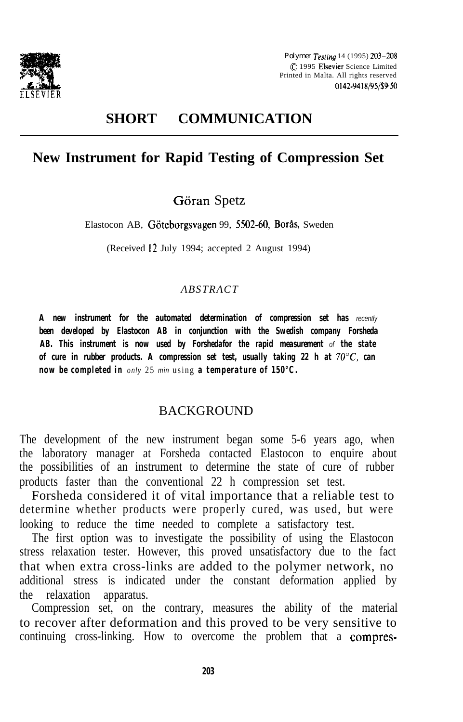

*Polymer Tesfing* 14 (1995) 203-208 C 1995 Elsevier Science Limited Printed in Malta. All rights reserved 0142-9418/95/\$9-50

# **SHORT COMMUNICATION**

# **New Instrument for Rapid Testing of Compression Set**

## Göran Spetz

Elastocon AB, Göteborgsvagen 99, 5502-60, Borås, Sweden

(Received 12 July 1994; accepted 2 August 1994)

#### *ABSTRACT*

*A new instrument for the automated determination of compression set has recently been developed by Elastocon AB in conjunction with the Swedish company Forsheda AB. This instrument is now used by Forshedafor the rapid measurement of the state of cure in rubber products. A compression set test, usually taking 22 h at 7O"C, can now be completed in only* 25 *min* using *a temperature of 150°C.*

#### BACKGROUND

The development of the new instrument began some 5-6 years ago, when the laboratory manager at Forsheda contacted Elastocon to enquire about the possibilities of an instrument to determine the state of cure of rubber products faster than the conventional 22 h compression set test.

Forsheda considered it of vital importance that a reliable test to determine whether products were properly cured, was used, but were looking to reduce the time needed to complete a satisfactory test.

The first option was to investigate the possibility of using the Elastocon stress relaxation tester. However, this proved unsatisfactory due to the fact that when extra cross-links are added to the polymer network, no additional stress is indicated under the constant deformation applied by the relaxation apparatus.

Compression set, on the contrary, measures the ability of the material to recover after deformation and this proved to be very sensitive to continuing cross-linking. How to overcome the problem that a compres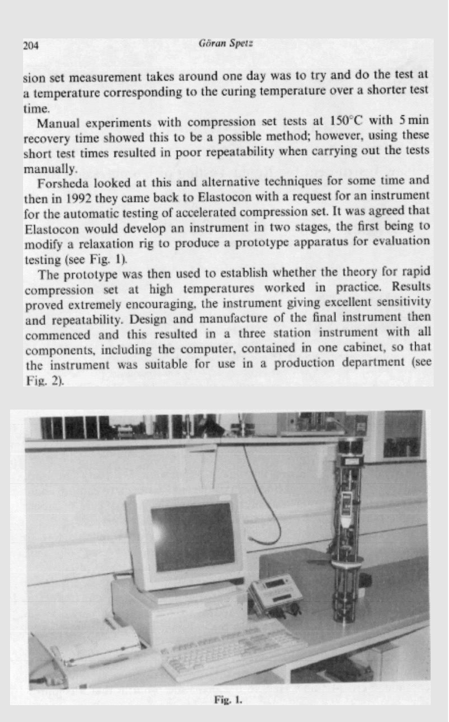sion set measurement takes around one day was to try and do the test at a temperature corresponding to the curing temperature over a shorter test time.

Manual experiments with compression set tests at 150°C with 5 min recovery time showed this to be a possible method; however, using these short test times resulted in poor repeatability when carrying out the tests manually.

Forsheda looked at this and alternative techniques for some time and then in 1992 they came back to Elastocon with a request for an instrument for the automatic testing of accelerated compression set. It was agreed that Elastocon would develop an instrument in two stages, the first being to modify a relaxation rig to produce a prototype apparatus for evaluation testing (see Fig. 1).

The prototype was then used to establish whether the theory for rapid compression set at high temperatures worked in practice. Results proved extremely encouraging, the instrument giving excellent sensitivity and repeatability. Design and manufacture of the final instrument then commenced and this resulted in a three station instrument with all components, including the computer, contained in one cabinet, so that the instrument was suitable for use in a production department (see Fig. 2).



Fig. 1.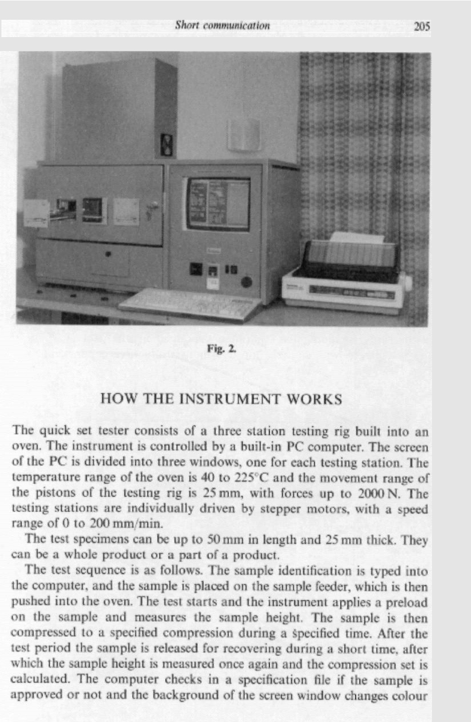

Fig. 2.

### **HOW THE INSTRUMENT WORKS**

The quick set tester consists of a three station testing rig built into an oven. The instrument is controlled by a built-in PC computer. The screen of the PC is divided into three windows, one for each testing station. The temperature range of the oven is 40 to 225°C and the movement range of the pistons of the testing rig is 25 mm, with forces up to 2000 N. The testing stations are individually driven by stepper motors, with a speed range of 0 to 200 mm/min.

The test specimens can be up to 50 mm in length and 25 mm thick. They can be a whole product or a part of a product.

The test sequence is as follows. The sample identification is typed into the computer, and the sample is placed on the sample feeder, which is then pushed into the oven. The test starts and the instrument applies a preload on the sample and measures the sample height. The sample is then compressed to a specified compression during a specified time. After the test period the sample is released for recovering during a short time, after which the sample height is measured once again and the compression set is calculated. The computer checks in a specification file if the sample is approved or not and the background of the screen window changes colour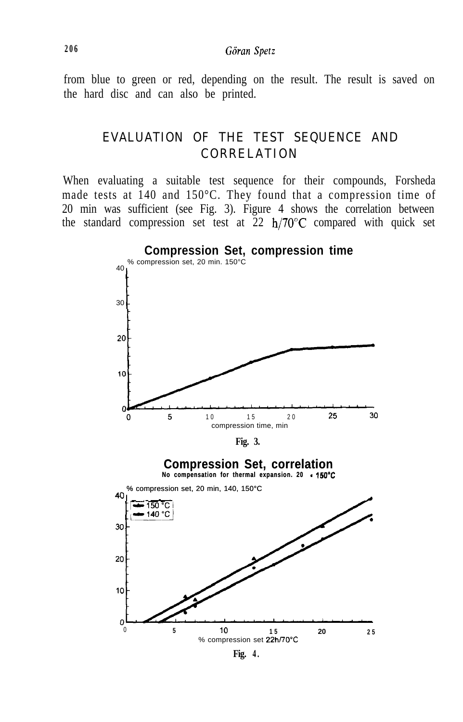from blue to green or red, depending on the result. The result is saved on the hard disc and can also be printed.

# EVALUATION OF THE TEST SEQUENCE AND CORRELATION

When evaluating a suitable test sequence for their compounds, Forsheda made tests at 140 and 150°C. They found that a compression time of 20 min was sufficient (see Fig. 3). Figure 4 shows the correlation between the standard compression set test at  $22 h/70^{\circ}$ C compared with quick set



**Fig. 4 .**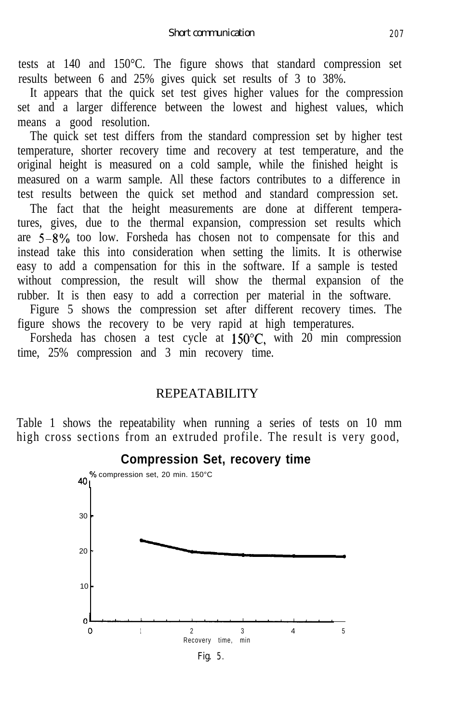tests at 140 and 150°C. The figure shows that standard compression set results between 6 and 25% gives quick set results of 3 to 38%.

It appears that the quick set test gives higher values for the compression set and a larger difference between the lowest and highest values, which means a good resolution.

The quick set test differs from the standard compression set by higher test temperature, shorter recovery time and recovery at test temperature, and the original height is measured on a cold sample, while the finished height is measured on a warm sample. All these factors contributes to a difference in test results between the quick set method and standard compression set.

The fact that the height measurements are done at different temperatures, gives, due to the thermal expansion, compression set results which are  $5-8\%$  too low. Forsheda has chosen not to compensate for this and instead take this into consideration when setting the limits. It is otherwise easy to add a compensation for this in the software. If a sample is tested without compression, the result will show the thermal expansion of the rubber. It is then easy to add a correction per material in the software.

Figure 5 shows the compression set after different recovery times. The figure shows the recovery to be very rapid at high temperatures.

Forsheda has chosen a test cycle at  $150^{\circ}$ C, with 20 min compression time, 25% compression and 3 min recovery time.

#### REPEATABILITY

Table 1 shows the repeatability when running a series of tests on 10 mm high cross sections from an extruded profile. The result is very good,



#### **Compression Set, recovery time**